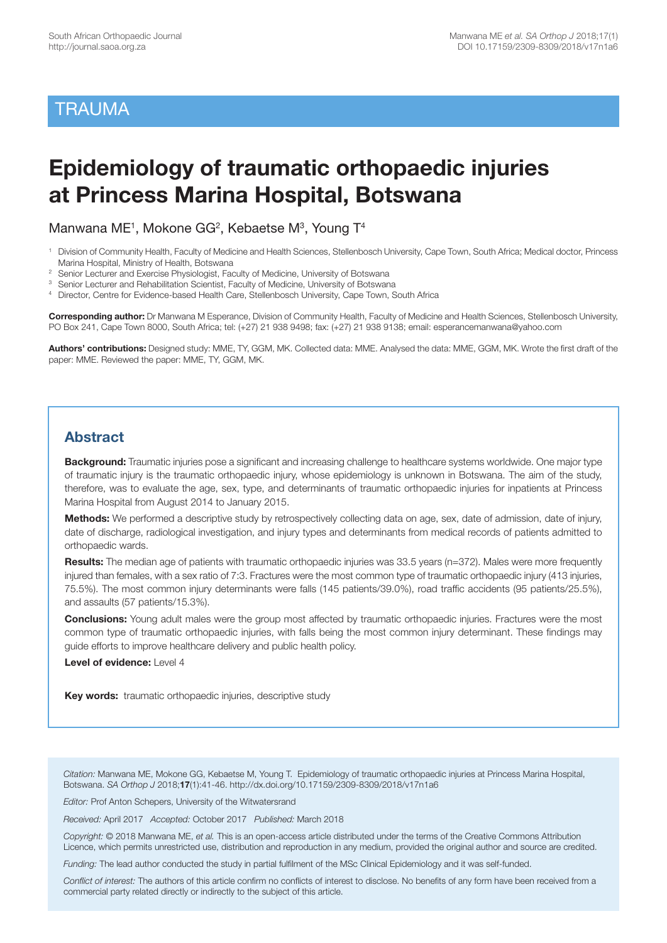## **TRAUMA**

# **Epidemiology of traumatic orthopaedic injuries at Princess Marina Hospital, Botswana**

Manwana ME<sup>1</sup>, Mokone GG<sup>2</sup>, Kebaetse M<sup>3</sup>, Young T<sup>4</sup>

- 1 Division of Community Health, Faculty of Medicine and Health Sciences, Stellenbosch University, Cape Town, South Africa; Medical doctor, Princess Marina Hospital, Ministry of Health, Botswana
- <sup>2</sup> Senior Lecturer and Exercise Physiologist, Faculty of Medicine, University of Botswana
- <sup>3</sup> Senior Lecturer and Rehabilitation Scientist, Faculty of Medicine, University of Botswana
- 4 Director, Centre for Evidence-based Health Care, Stellenbosch University, Cape Town, South Africa

**Corresponding author:** Dr Manwana M Esperance, Division of Community Health, Faculty of Medicine and Health Sciences, Stellenbosch University, PO Box 241, Cape Town 8000, South Africa; tel: (+27) 21 938 9498; fax: (+27) 21 938 9138; email: esperancemanwana@yahoo.com

**Authors' contributions:** Designed study: MME, TY, GGM, MK. Collected data: MME. Analysed the data: MME, GGM, MK. Wrote the first draft of the paper: MME. Reviewed the paper: MME, TY, GGM, MK.

## **Abstract**

**Background:** Traumatic injuries pose a significant and increasing challenge to healthcare systems worldwide. One major type of traumatic injury is the traumatic orthopaedic injury, whose epidemiology is unknown in Botswana. The aim of the study, therefore, was to evaluate the age, sex, type, and determinants of traumatic orthopaedic injuries for inpatients at Princess Marina Hospital from August 2014 to January 2015.

**Methods:** We performed a descriptive study by retrospectively collecting data on age, sex, date of admission, date of injury, date of discharge, radiological investigation, and injury types and determinants from medical records of patients admitted to orthopaedic wards.

**Results:** The median age of patients with traumatic orthopaedic injuries was 33.5 years (n=372). Males were more frequently injured than females, with a sex ratio of 7:3. Fractures were the most common type of traumatic orthopaedic injury (413 injuries, 75.5%). The most common injury determinants were falls (145 patients/39.0%), road traffic accidents (95 patients/25.5%), and assaults (57 patients/15.3%).

**Conclusions:** Young adult males were the group most affected by traumatic orthopaedic injuries. Fractures were the most common type of traumatic orthopaedic injuries, with falls being the most common injury determinant. These findings may guide efforts to improve healthcare delivery and public health policy.

**Level of evidence:** Level 4

**Key words:** traumatic orthopaedic injuries, descriptive study

*Citation:* Manwana ME, Mokone GG, Kebaetse M, Young T. Epidemiology of traumatic orthopaedic injuries at Princess Marina Hospital, Botswana. *SA Orthop J* 2018;**17**(1):41-46. http://dx.doi.org/10.17159/2309-8309/2018/v17n1a6

*Editor:* Prof Anton Schepers, University of the Witwatersrand

*Received:* April 2017 *Accepted:* October 2017 *Published:* March 2018

*Copyright:* © 2018 Manwana ME, *et al.* This is an open-access article distributed under the terms of the Creative Commons Attribution Licence, which permits unrestricted use, distribution and reproduction in any medium, provided the original author and source are credited.

*Funding:* The lead author conducted the study in partial fulfilment of the MSc Clinical Epidemiology and it was self-funded.

*Conflict of interest:* The authors of this article confirm no conflicts of interest to disclose. No benefits of any form have been received from a commercial party related directly or indirectly to the subject of this article.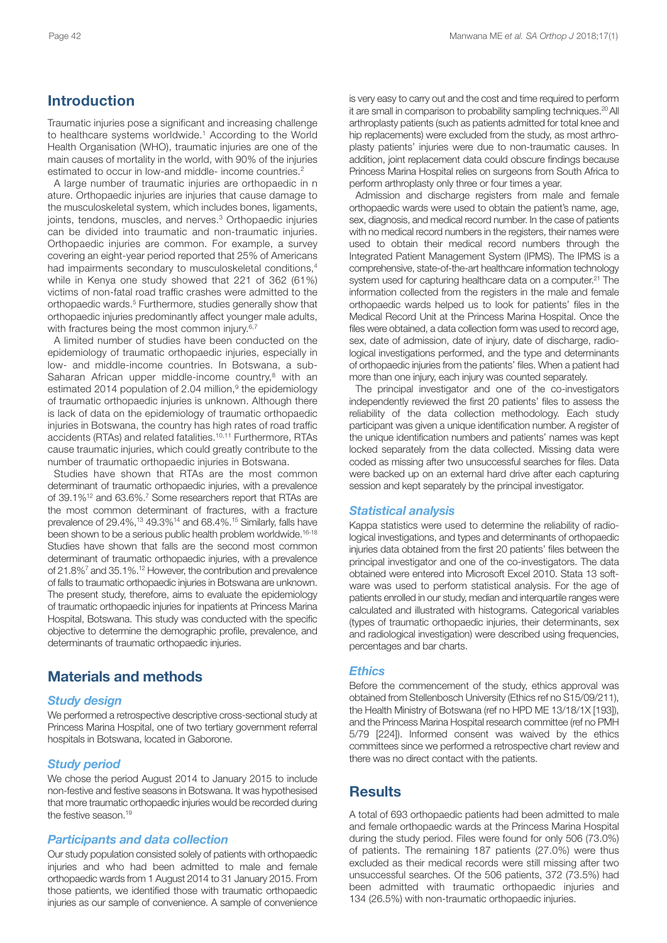## **Introduction**

Traumatic injuries pose a significant and increasing challenge to healthcare systems worldwide. <sup>1</sup> According to the World Health Organisation (WHO), traumatic injuries are one of the main causes of mortality in the world, with 90% of the injuries estimated to occur in low-and middle- income countries.<sup>2</sup>

A large number of traumatic injuries are orthopaedic in n ature. Orthopaedic injuries are injuries that cause damage to the musculoskeletal system, which includes bones, ligaments, joints, tendons, muscles, and nerves. <sup>3</sup> Orthopaedic injuries can be divided into traumatic and non-traumatic injuries. Orthopaedic injuries are common. For example, a survey covering an eight-year period reported that 25% of Americans had impairments secondary to musculoskeletal conditions, 4 while in Kenya one study showed that 221 of 362 (61%) victims of non-fatal road traffic crashes were admitted to the orthopaedic wards. <sup>5</sup> Furthermore, studies generally show that orthopaedic injuries predominantly affect younger male adults, with fractures being the most common injury.<sup>6,7</sup>

A limited number of studies have been conducted on the epidemiology of traumatic orthopaedic injuries, especially in low- and middle-income countries. In Botswana, a sub-Saharan African upper middle-income country, <sup>8</sup> with an estimated 2014 population of 2.04 million, <sup>9</sup> the epidemiology of traumatic orthopaedic injuries is unknown. Although there is lack of data on the epidemiology of traumatic orthopaedic injuries in Botswana, the country has high rates of road traffic accidents (RTAs) and related fatalities. 10,11 Furthermore, RTAs cause traumatic injuries, which could greatly contribute to the number of traumatic orthopaedic injuries in Botswana.

Studies have shown that RTAs are the most common determinant of traumatic orthopaedic injuries, with a prevalence of 39.1%<sup>12</sup> and 63.6%.<sup>7</sup> Some researchers report that RTAs are the most common determinant of fractures, with a fracture prevalence of 29.4%, <sup>13</sup> 49.3%14 and 68.4%. <sup>15</sup> Similarly, falls have been shown to be a serious public health problem worldwide.<sup>16-18</sup> Studies have shown that falls are the second most common determinant of traumatic orthopaedic injuries, with a prevalence of 21.8%7 and 35.1%. <sup>12</sup> However, the contribution and prevalence of falls to traumatic orthopaedic injuries in Botswana are unknown. The present study, therefore, aims to evaluate the epidemiology of traumatic orthopaedic injuries for inpatients at Princess Marina Hospital, Botswana. This study was conducted with the specific objective to determine the demographic profile, prevalence, and determinants of traumatic orthopaedic injuries.

## **Materials and methods**

#### *Study design*

We performed a retrospective descriptive cross-sectional study at Princess Marina Hospital, one of two tertiary government referral hospitals in Botswana, located in Gaborone.

#### *Study period*

We chose the period August 2014 to January 2015 to include non-festive and festive seasons in Botswana. It was hypothesised that more traumatic orthopaedic injuries would be recorded during the festive season. 19

#### *Participants and data collection*

Our study population consisted solely of patients with orthopaedic injuries and who had been admitted to male and female orthopaedic wards from 1 August 2014 to 31 January 2015. From those patients, we identified those with traumatic orthopaedic injuries as our sample of convenience. A sample of convenience is very easy to carry out and the cost and time required to perform it are small in comparison to probability sampling techniques.<sup>20</sup> All arthroplasty patients (such as patients admitted for total knee and hip replacements) were excluded from the study, as most arthroplasty patients' injuries were due to non-traumatic causes. In addition, joint replacement data could obscure findings because Princess Marina Hospital relies on surgeons from South Africa to perform arthroplasty only three or four times a year.

Admission and discharge registers from male and female orthopaedic wards were used to obtain the patient's name, age, sex, diagnosis, and medical record number. In the case of patients with no medical record numbers in the registers, their names were used to obtain their medical record numbers through the Integrated Patient Management System (IPMS). The IPMS is a comprehensive, state-of-the-art healthcare information technology system used for capturing healthcare data on a computer. <sup>21</sup> The information collected from the registers in the male and female orthopaedic wards helped us to look for patients' files in the Medical Record Unit at the Princess Marina Hospital. Once the files were obtained, a data collection form was used to record age, sex, date of admission, date of injury, date of discharge, radiological investigations performed, and the type and determinants of orthopaedic injuries from the patients' files. When a patient had more than one injury, each injury was counted separately.

The principal investigator and one of the co-investigators independently reviewed the first 20 patients' files to assess the reliability of the data collection methodology. Each study participant was given a unique identification number. A register of the unique identification numbers and patients' names was kept locked separately from the data collected. Missing data were coded as missing after two unsuccessful searches for files. Data were backed up on an external hard drive after each capturing session and kept separately by the principal investigator.

#### *Statistical analysis*

Kappa statistics were used to determine the reliability of radiological investigations, and types and determinants of orthopaedic injuries data obtained from the first 20 patients' files between the principal investigator and one of the co-investigators. The data obtained were entered into Microsoft Excel 2010. Stata 13 software was used to perform statistical analysis. For the age of patients enrolled in our study, median and interquartile ranges were calculated and illustrated with histograms. Categorical variables (types of traumatic orthopaedic injuries, their determinants, sex and radiological investigation) were described using frequencies, percentages and bar charts.

#### *Ethics*

Before the commencement of the study, ethics approval was obtained from Stellenbosch University (Ethics ref no S15/09/211), the Health Ministry of Botswana (ref no HPD ME 13/18/1X [193]), and the Princess Marina Hospital research committee (ref no PMH 5/79 [224]). Informed consent was waived by the ethics committees since we performed a retrospective chart review and there was no direct contact with the patients.

## **Results**

A total of 693 orthopaedic patients had been admitted to male and female orthopaedic wards at the Princess Marina Hospital during the study period. Files were found for only 506 (73.0%) of patients. The remaining 187 patients (27.0%) were thus excluded as their medical records were still missing after two unsuccessful searches. Of the 506 patients, 372 (73.5%) had been admitted with traumatic orthopaedic injuries and 134 (26.5%) with non-traumatic orthopaedic injuries.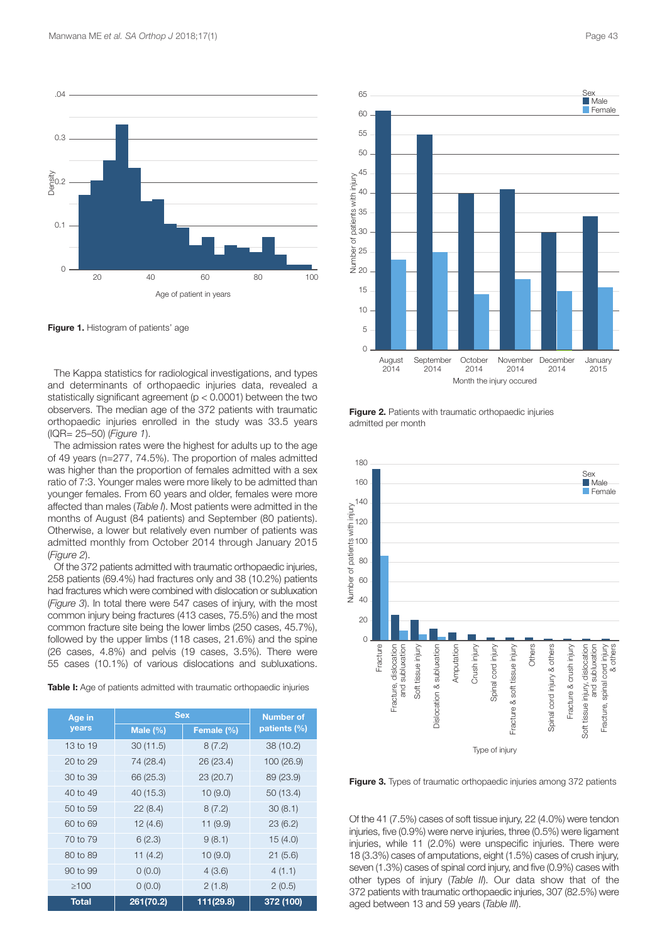

**Figure 1.** Histogram of patients' age

The Kappa statistics for radiological investigations, and types and determinants of orthopaedic injuries data, revealed a statistically significant agreement (p < 0.0001) between the two observers. The median age of the 372 patients with traumatic orthopaedic injuries enrolled in the study was 33.5 years (IQR= 25–50) (*Figure 1*).

The admission rates were the highest for adults up to the age of 49 years (n=277, 74.5%). The proportion of males admitted was higher than the proportion of females admitted with a sex ratio of 7:3. Younger males were more likely to be admitted than younger females. From 60 years and older, females were more affected than males (*Table I*). Most patients were admitted in the months of August (84 patients) and September (80 patients). Otherwise, a lower but relatively even number of patients was admitted monthly from October 2014 through January 2015 (*Figure 2*).

Of the 372 patients admitted with traumatic orthopaedic injuries, 258 patients (69.4%) had fractures only and 38 (10.2%) patients had fractures which were combined with dislocation or subluxation (*Figure 3*). In total there were 547 cases of injury, with the most common injury being fractures (413 cases, 75.5%) and the most common fracture site being the lower limbs (250 cases, 45.7%), followed by the upper limbs (118 cases, 21.6%) and the spine (26 cases, 4.8%) and pelvis (19 cases, 3.5%). There were 55 cases (10.1%) of various dislocations and subluxations.

**Table I:** Age of patients admitted with traumatic orthopaedic injuries

| Age in     | <b>Sex</b>   | <b>Number of</b> |              |
|------------|--------------|------------------|--------------|
| years      | Male $(\% )$ | Female (%)       | patients (%) |
| 13 to 19   | 30(11.5)     | 8(7.2)           | 38(10.2)     |
| 20 to 29   | 74 (28.4)    | 26 (23.4)        | 100 (26.9)   |
| 30 to 39   | 66 (25.3)    | 23 (20.7)        | 89 (23.9)    |
| 40 to 49   | 40 (15.3)    | 10(9.0)          | 50(13.4)     |
| 50 to 59   | 22(8.4)      | 8(7.2)           | 30(8.1)      |
| 60 to 69   | 12(4.6)      | 11(9.9)          | 23(6.2)      |
| 70 to 79   | 6(2.3)       | 9(8.1)           | 15(4.0)      |
| 80 to 89   | 11(4.2)      | 10(9.0)          | 21(5.6)      |
| 90 to 99   | 0(0.0)       | 4(3.6)           | 4(1.1)       |
| $\geq 100$ | 0(0.0)       | 2(1.8)           | 2(0.5)       |
| Total      | 261(70.2)    | 111(29.8)        | 372 (100)    |



**Figure 2.** Patients with traumatic orthopaedic injuries admitted per month



**Figure 3.** Types of traumatic orthopaedic injuries among 372 patients

Of the 41 (7.5%) cases of soft tissue injury, 22 (4.0%) were tendon injuries, five (0.9%) were nerve injuries, three (0.5%) were ligament injuries, while 11 (2.0%) were unspecific injuries. There were 18 (3.3%) cases of amputations, eight (1.5%) cases of crush injury, seven (1.3%) cases of spinal cord injury, and five (0.9%) cases with other types of injury (*Table II*). Our data show that of the 372 patients with traumatic orthopaedic injuries, 307 (82.5%) were aged between 13 and 59 years (*Table III*).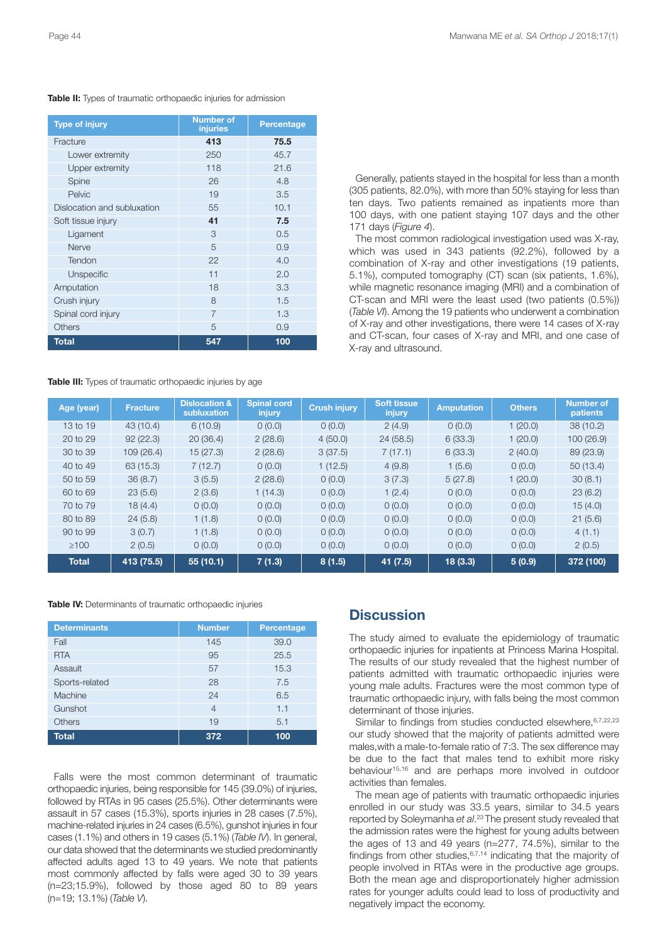| <b>Type of injury</b>       | <b>Number of</b><br>injuries | Percentage |
|-----------------------------|------------------------------|------------|
| Fracture                    | 413                          | 75.5       |
| Lower extremity             | 250                          | 45.7       |
| Upper extremity             | 118                          | 21.6       |
| Spine                       | 26                           | 4.8        |
| Pelvic                      | 19                           | 3.5        |
| Dislocation and subluxation | 55                           | 10.1       |
| Soft tissue injury          | 41                           | 7.5        |
| Ligament                    | 3                            | 0.5        |
| Nerve                       | 5                            | 0.9        |
| Tendon                      | 22                           | 4.0        |
| Unspecific                  | 11                           | 2.0        |
| Amputation                  | 18                           | 3.3        |
| Crush injury                | 8                            | 1.5        |
| Spinal cord injury          | 7                            | 1.3        |
| <b>Others</b>               | 5                            | 0.9        |
| <b>Total</b>                | 547                          | 100        |

**Table II:** Types of traumatic orthopaedic injuries for admission

**Table III:** Types of traumatic orthopaedic injuries by age

Generally, patients stayed in the hospital for less than a month (305 patients, 82.0%), with more than 50% staying for less than ten days. Two patients remained as inpatients more than 100 days, with one patient staying 107 days and the other 171 days (*Figure 4*).

The most common radiological investigation used was X-ray, which was used in 343 patients (92.2%), followed by a combination of X-ray and other investigations (19 patients, 5.1%), computed tomography (CT) scan (six patients, 1.6%), while magnetic resonance imaging (MRI) and a combination of CT-scan and MRI were the least used (two patients (0.5%)) (*Table VI*). Among the 19 patients who underwent a combination of X-ray and other investigations, there were 14 cases of X-ray and CT-scan, four cases of X-ray and MRI, and one case of X-ray and ultrasound.

| Age (year)   | <b>Fracture</b> | <b>Dislocation &amp;</b><br>subluxation | Spinal cord<br>injury | <b>Crush injury</b> | <b>Soft tissue</b><br>injury | <b>Amputation</b> | <b>Others</b> | <b>Number of</b><br>patients |
|--------------|-----------------|-----------------------------------------|-----------------------|---------------------|------------------------------|-------------------|---------------|------------------------------|
| 13 to 19     | 43(10.4)        | 6(10.9)                                 | 0(0.0)                | 0(0.0)              | 2(4.9)                       | 0(0.0)            | 1(20.0)       | 38(10.2)                     |
| 20 to 29     | 92(22.3)        | 20(36.4)                                | 2(28.6)               | 4(50.0)             | 24(58.5)                     | 6(33.3)           | 1(20.0)       | 100 (26.9)                   |
| 30 to 39     | 109(26.4)       | 15(27.3)                                | 2(28.6)               | 3(37.5)             | 7(17.1)                      | 6(33.3)           | 2(40.0)       | 89 (23.9)                    |
| 40 to 49     | 63(15.3)        | 7(12.7)                                 | 0(0.0)                | 1(12.5)             | 4(9.8)                       | 1(5.6)            | 0(0.0)        | 50(13.4)                     |
| 50 to 59     | 36(8.7)         | 3(5.5)                                  | 2(28.6)               | 0(0.0)              | 3(7.3)                       | 5(27.8)           | 1(20.0)       | 30(8.1)                      |
| 60 to 69     | 23(5.6)         | 2(3.6)                                  | 1(14.3)               | 0(0.0)              | 1(2.4)                       | 0(0.0)            | 0(0.0)        | 23(6.2)                      |
| 70 to 79     | 18(4.4)         | 0(0.0)                                  | 0(0.0)                | 0(0.0)              | 0(0.0)                       | 0(0.0)            | 0(0.0)        | 15(4.0)                      |
| 80 to 89     | 24(5.8)         | 1(1.8)                                  | 0(0.0)                | 0(0.0)              | 0(0.0)                       | 0(0.0)            | 0(0.0)        | 21(5.6)                      |
| 90 to 99     | 3(0.7)          | 1(1.8)                                  | 0(0.0)                | 0(0.0)              | 0(0.0)                       | 0(0.0)            | 0(0.0)        | 4(1.1)                       |
| $\geq 100$   | 2(0.5)          | 0(0.0)                                  | 0(0.0)                | 0(0.0)              | 0(0.0)                       | 0(0.0)            | 0(0.0)        | 2(0.5)                       |
| <b>Total</b> | 413 (75.5)      | 55(10.1)                                | 7(1.3)                | 8(1.5)              | 41 (7.5)                     | 18(3.3)           | 5(0.9)        | 372 (100)                    |

| Table IV: Determinants of traumatic orthopaedic injuries |  |  |  |  |
|----------------------------------------------------------|--|--|--|--|
|----------------------------------------------------------|--|--|--|--|

| <b>Determinants</b> | <b>Number</b> | Percentage |
|---------------------|---------------|------------|
| Fall                | 145           | 39.0       |
| <b>RTA</b>          | 95            | 25.5       |
| Assault             | 57            | 15.3       |
| Sports-related      | 28            | 7.5        |
| Machine             | 24            | 6.5        |
| Gunshot             |               | 1.1        |
| <b>Others</b>       | 19            | 5.1        |
| <b>Total</b>        |               | 1 N N      |

Falls were the most common determinant of traumatic orthopaedic injuries, being responsible for 145 (39.0%) of injuries, followed by RTAs in 95 cases (25.5%). Other determinants were assault in 57 cases (15.3%), sports injuries in 28 cases (7.5%), machine-related injuries in 24 cases (6.5%), gunshot injuries in four cases (1.1%) and others in 19 cases (5.1%) (*Table IV*). In general, our data showed that the determinants we studied predominantly affected adults aged 13 to 49 years. We note that patients most commonly affected by falls were aged 30 to 39 years (n=23;15.9%), followed by those aged 80 to 89 years (n=19; 13.1%) (*Table V*).

## **Discussion**

The study aimed to evaluate the epidemiology of traumatic orthopaedic injuries for inpatients at Princess Marina Hospital. The results of our study revealed that the highest number of patients admitted with traumatic orthopaedic injuries were young male adults. Fractures were the most common type of traumatic orthopaedic injury, with falls being the most common determinant of those injuries.

Similar to findings from studies conducted elsewhere, 6,7,22,23 our study showed that the majority of patients admitted were males,with a male-to-female ratio of 7:3. The sex difference may be due to the fact that males tend to exhibit more risky behaviour 15,16 and are perhaps more involved in outdoor activities than females.

The mean age of patients with traumatic orthopaedic injuries enrolled in our study was 33.5 years, similar to 34.5 years reported by Soleymanha *et al*. <sup>23</sup> The present study revealed that the admission rates were the highest for young adults between the ages of 13 and 49 years (n=277, 74.5%), similar to the findings from other studies, $6,7,14$  indicating that the majority of people involved in RTAs were in the productive age groups. Both the mean age and disproportionately higher admission rates for younger adults could lead to loss of productivity and negatively impact the economy.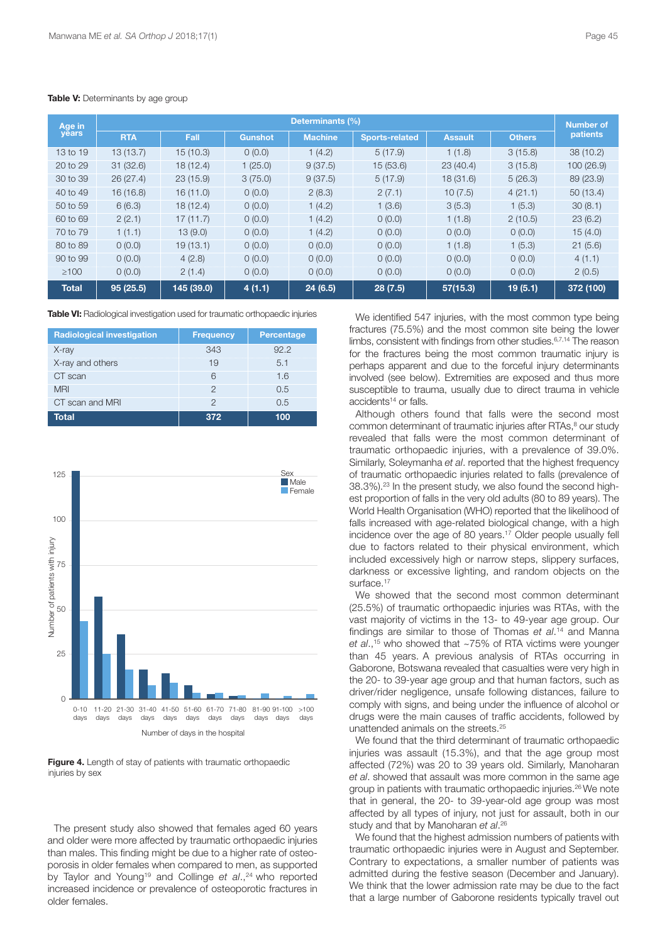| Age in       | Determinants (%) |            |                |                |                       |                |               | Number of |
|--------------|------------------|------------|----------------|----------------|-----------------------|----------------|---------------|-----------|
| years        | <b>RTA</b>       | Fall       | <b>Gunshot</b> | <b>Machine</b> | <b>Sports-related</b> | <b>Assault</b> | <b>Others</b> | patients  |
| 13 to 19     | 13(13.7)         | 15(10.3)   | 0(0.0)         | 1(4.2)         | 5(17.9)               | 1(1.8)         | 3(15.8)       | 38(10.2)  |
| 20 to 29     | 31(32.6)         | 18(12.4)   | 1(25.0)        | 9(37.5)        | 15(53.6)              | 23(40.4)       | 3(15.8)       | 100(26.9) |
| 30 to 39     | 26(27.4)         | 23(15.9)   | 3(75.0)        | 9(37.5)        | 5(17.9)               | 18(31.6)       | 5(26.3)       | 89 (23.9) |
| 40 to 49     | 16(16.8)         | 16(11.0)   | 0(0.0)         | 2(8.3)         | 2(7.1)                | 10(7.5)        | 4(21.1)       | 50(13.4)  |
| 50 to 59     | 6(6.3)           | 18(12.4)   | 0(0.0)         | 1(4.2)         | 1(3.6)                | 3(5.3)         | 1(5.3)        | 30(8.1)   |
| 60 to 69     | 2(2.1)           | 17(11.7)   | 0(0.0)         | 1(4.2)         | 0(0.0)                | 1(1.8)         | 2(10.5)       | 23(6.2)   |
| 70 to 79     | 1(1.1)           | 13(9.0)    | 0(0.0)         | 1(4.2)         | 0(0.0)                | 0(0.0)         | 0(0.0)        | 15(4.0)   |
| 80 to 89     | 0(0.0)           | 19(13.1)   | 0(0.0)         | 0(0.0)         | 0(0.0)                | 1(1.8)         | 1(5.3)        | 21(5.6)   |
| 90 to 99     | 0(0.0)           | 4(2.8)     | 0(0.0)         | 0(0.0)         | 0(0.0)                | 0(0.0)         | 0(0.0)        | 4(1.1)    |
| $\geq 100$   | 0(0.0)           | 2(1.4)     | 0(0.0)         | 0(0.0)         | 0(0.0)                | 0(0.0)         | 0(0.0)        | 2(0.5)    |
| <b>Total</b> | 95(25.5)         | 145 (39.0) | 4(1.1)         | 24(6.5)        | 28(7.5)               | 57(15.3)       | 19(5.1)       | 372 (100) |

#### **Table V:** Determinants by age group

**Table VI:** Radiological investigation used for traumatic orthopaedic injuries

| <b>Radiological investigation</b> | <b>Frequency</b> | <b>Percentage</b> |
|-----------------------------------|------------------|-------------------|
| X-ray                             | 343              | 92.2              |
| X-ray and others                  | 19               | 5.1               |
| CT scan                           |                  | 1.6               |
| <b>MRI</b>                        |                  | 0.5               |
| CT scan and MRI                   |                  | 0.5               |
| Total                             | 372              | 100               |



**Figure 4.** Length of stay of patients with traumatic orthopaedic injuries by sex

The present study also showed that females aged 60 years and older were more affected by traumatic orthopaedic injuries than males. This finding might be due to a higher rate of osteoporosis in older females when compared to men, as supported by Taylor and Young19 and Collinge *et al*., <sup>24</sup> who reported increased incidence or prevalence of osteoporotic fractures in older females.

We identified 547 injuries, with the most common type being fractures (75.5%) and the most common site being the lower limbs, consistent with findings from other studies.<sup>6,7,14</sup> The reason for the fractures being the most common traumatic injury is perhaps apparent and due to the forceful injury determinants involved (see below). Extremities are exposed and thus more susceptible to trauma, usually due to direct trauma in vehicle accidents<sup>14</sup> or falls.

Although others found that falls were the second most common determinant of traumatic injuries after RTAs, <sup>8</sup> our study revealed that falls were the most common determinant of traumatic orthopaedic injuries, with a prevalence of 39.0%. Similarly, Soleymanha *et al*. reported that the highest frequency of traumatic orthopaedic injuries related to falls (prevalence of 38.3%). <sup>23</sup> In the present study, we also found the second highest proportion of falls in the very old adults (80 to 89 years). The World Health Organisation (WHO) reported that the likelihood of falls increased with age-related biological change, with a high incidence over the age of 80 years. <sup>17</sup> Older people usually fell due to factors related to their physical environment, which included excessively high or narrow steps, slippery surfaces, darkness or excessive lighting, and random objects on the surface.<sup>17</sup>

We showed that the second most common determinant (25.5%) of traumatic orthopaedic injuries was RTAs, with the vast majority of victims in the 13- to 49-year age group. Our findings are similar to those of Thomas *et al*. <sup>14</sup> and Manna *et al*., <sup>15</sup> who showed that ~75% of RTA victims were younger than 45 years. A previous analysis of RTAs occurring in Gaborone, Botswana revealed that casualties were very high in the 20- to 39-year age group and that human factors, such as driver/rider negligence, unsafe following distances, failure to comply with signs, and being under the influence of alcohol or drugs were the main causes of traffic accidents, followed by unattended animals on the streets.<sup>25</sup>

We found that the third determinant of traumatic orthopaedic injuries was assault (15.3%), and that the age group most affected (72%) was 20 to 39 years old. Similarly, Manoharan *et al*. showed that assault was more common in the same age group in patients with traumatic orthopaedic injuries. <sup>26</sup> We note that in general, the 20- to 39-year-old age group was most affected by all types of injury, not just for assault, both in our study and that by Manoharan *et al*. 26

We found that the highest admission numbers of patients with traumatic orthopaedic injuries were in August and September. Contrary to expectations, a smaller number of patients was admitted during the festive season (December and January). We think that the lower admission rate may be due to the fact that a large number of Gaborone residents typically travel out